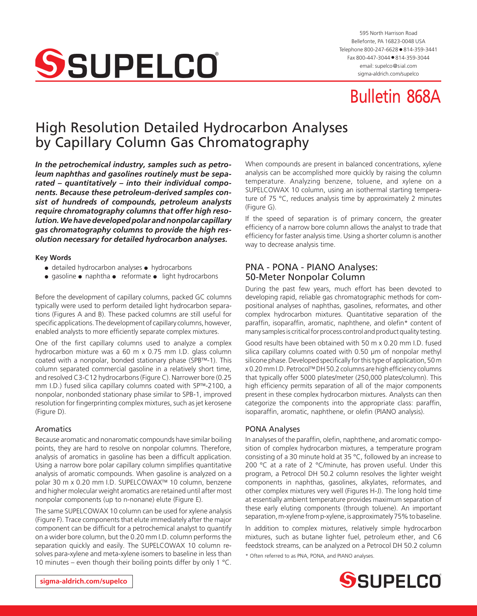

595 North Harrison Road Bellefonte, PA 16823-0048 USA Telephone 800-247-6628 ● 814-359-3441 Fax 800-447-3044 ● 814-359-3044 email: supelco@sial.com [sigma-aldrich.com/supelco](http://www.sigma-aldrich.com/supelco)

# Bulletin 868A

## High Resolution Detailed Hydrocarbon Analyses by Capillary Column Gas Chromatography

*In the petrochemical industry, samples such as petroleum naphthas and gasolines routinely must be separated – quantitatively – into their individual components. Because these petroleum-derived samples consist of hundreds of compounds, petroleum analysts require chromatography columns that offer high resolution. We have developed polar and nonpolar capillary gas chromatography columns to provide the high resolution necessary for detailed hydrocarbon analyses.*

#### **Key Words**

- detailed hydrocarbon analyses hydrocarbons
- gasoline naphtha reformate light hydrocarbons

Before the development of capillary columns, packed GC columns typically were used to perform detailed light hydrocarbon separations (Figures A and B). These packed columns are still useful for specific applications. The development of capillary columns, however, enabled analysts to more efficiently separate complex mixtures.

One of the first capillary columns used to analyze a complex hydrocarbon mixture was a 60 m x 0.75 mm I.D. glass column coated with a nonpolar, bonded stationary phase (SPB™-1). This column separated commercial gasoline in a relatively short time, and resolved C3-C12 hydrocarbons (Figure C). Narrower bore (0.25 mm I.D.) fused silica capillary columns coated with SP™-2100, a nonpolar, nonbonded stationary phase similar to SPB-1, improved resolution for fingerprinting complex mixtures, such as jet kerosene (Figure D).

#### Aromatics

Because aromatic and nonaromatic compounds have similar boiling points, they are hard to resolve on nonpolar columns. Therefore, analysis of aromatics in gasoline has been a difficult application. Using a narrow bore polar capillary column simplifies quantitative analysis of aromatic compounds. When gasoline is analyzed on a polar 30 m x 0.20 mm I.D. SUPELCOWAX™ 10 column, benzene and higher molecular weight aromatics are retained until after most nonpolar components (up to n-nonane) elute (Figure E).

The same SUPELCOWAX 10 column can be used for xylene analysis (Figure F). Trace components that elute immediately after the major component can be difficult for a petrochemical analyst to quantify on a wider bore column, but the 0.20 mm I.D. column performs the separation quickly and easily. The SUPELCOWAX 10 column resolves para-xylene and meta-xylene isomers to baseline in less than 10 minutes – even though their boiling points differ by only 1  $^{\circ}$ C.

When compounds are present in balanced concentrations, xylene analysis can be accomplished more quickly by raising the column temperature. Analyzing benzene, toluene, and xylene on a SUPELCOWAX 10 column, using an isothermal starting temperature of 75 °C, reduces analysis time by approximately 2 minutes (Figure G).

If the speed of separation is of primary concern, the greater efficiency of a narrow bore column allows the analyst to trade that efficiency for faster analysis time. Using a shorter column is another way to decrease analysis time.

## PNA - PONA - PIANO Analyses: 50-Meter Nonpolar Column

During the past few years, much effort has been devoted to developing rapid, reliable gas chromatographic methods for compositional analyses of naphthas, gasolines, reformates, and other complex hydrocarbon mixtures. Quantitative separation of the paraffin, isoparaffin, aromatic, naphthene, and olefin\* content of many samples is critical for process control and product quality testing.

Good results have been obtained with 50 m x 0.20 mm I.D. fused silica capillary columns coated with 0.50 µm of nonpolar methyl silicone phase. Developed specifically for this type of application, 50 m x 0.20 mm I.D. Petrocol™ DH 50.2 columns are high efficiency columns that typically offer 5000 plates/meter (250,000 plates/column). This high efficiency permits separation of all of the major components present in these complex hydrocarbon mixtures. Analysts can then categorize the components into the appropriate class: paraffin, isoparaffin, aromatic, naphthene, or olefin (PIANO analysis).

#### PONA Analyses

In analyses of the paraffin, olefin, naphthene, and aromatic composition of complex hydrocarbon mixtures, a temperature program consisting of a 30 minute hold at 35 °C, followed by an increase to 200 °C at a rate of 2 °C/minute, has proven useful. Under this program, a Petrocol DH 50.2 column resolves the lighter weight components in naphthas, gasolines, alkylates, reformates, and other complex mixtures very well (Figures H-J). The long hold time at essentially ambient temperature provides maximum separation of these early eluting components (through toluene). An important separation, m-xylene from p-xylene, is approximately 75% to baseline.

In addition to complex mixtures, relatively simple hydrocarbon mixtures, such as butane lighter fuel, petroleum ether, and C6 feedstock streams, can be analyzed on a Petrocol DH 50.2 column

\* Often referred to as PNA, PONA, and PIANO analyses.

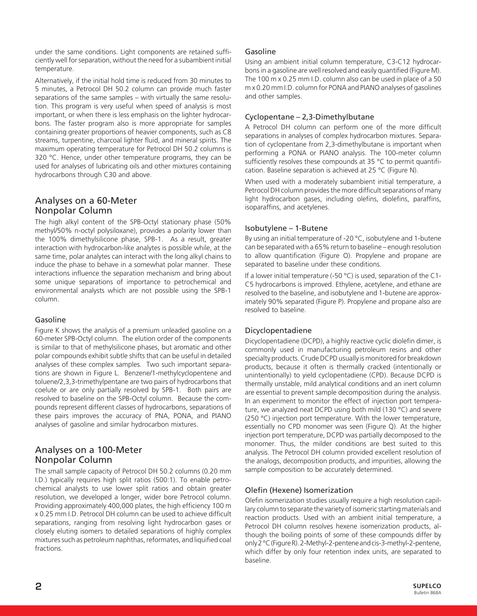under the same conditions. Light components are retained sufficiently well for separation, without the need for a subambient initial temperature.

Alternatively, if the initial hold time is reduced from 30 minutes to 5 minutes, a Petrocol DH 50.2 column can provide much faster separations of the same samples – with virtually the same resolution. This program is very useful when speed of analysis is most important, or when there is less emphasis on the lighter hydrocarbons. The faster program also is more appropriate for samples containing greater proportions of heavier components, such as C8 streams, turpentine, charcoal lighter fluid, and mineral spirits. The maximum operating temperature for Petrocol DH 50.2 columns is 320 °C. Hence, under other temperature programs, they can be used for analyses of lubricating oils and other mixtures containing hydrocarbons through C30 and above.

## Analyses on a 60-Meter Nonpolar Column

The high alkyl content of the SPB-Octyl stationary phase (50% methyl/50% n-octyl polysiloxane), provides a polarity lower than the 100% dimethylsilicone phase, SPB-1. As a result, greater interaction with hydrocarbon-like analytes is possible while, at the same time, polar analytes can interact with the long alkyl chains to induce the phase to behave in a somewhat polar manner. These interactions influence the separation mechanism and bring about some unique separations of importance to petrochemical and environmental analysts which are not possible using the SPB-1 column.

## Gasoline

Figure K shows the analysis of a premium unleaded gasoline on a 60-meter SPB-Octyl column. The elution order of the components is similar to that of methylsilicone phases, but aromatic and other polar compounds exhibit subtle shifts that can be useful in detailed analyses of these complex samples. Two such important separations are shown in Figure L. Benzene/1-methylcyclopentene and toluene/2,3,3-trimethylpentane are two pairs of hydrocarbons that coelute or are only partially resolved by SPB-1. Both pairs are resolved to baseline on the SPB-Octyl column. Because the compounds represent different classes of hydrocarbons, separations of these pairs improves the accuracy of PNA, PONA, and PIANO analyses of gasoline and similar hydrocarbon mixtures.

## Analyses on a 100-Meter Nonpolar Column

The small sample capacity of Petrocol DH 50.2 columns (0.20 mm I.D.) typically requires high split ratios (500:1). To enable petrochemical analysts to use lower split ratios and obtain greater resolution, we developed a longer, wider bore Petrocol column. Providing approximately 400,000 plates, the high efficiency 100 m x 0.25 mm I.D. Petrocol DH column can be used to achieve difficult separations, ranging from resolving light hydrocarbon gases or closely eluting isomers to detailed separations of highly complex mixtures such as petroleum naphthas, reformates, and liquified coal fractions.

## Gasoline

Using an ambient initial column temperature, C3-C12 hydrocarbons in a gasoline are well resolved and easily quantified (Figure M). The 100 m x 0.25 mm I.D. column also can be used in place of a 50 m x 0.20 mm I.D. column for PONA and PIANO analyses of gasolines and other samples.

## Cyclopentane – 2,3-Dimethylbutane

A Petrocol DH column can perform one of the more difficult separations in analyses of complex hydrocarbon mixtures. Separation of cyclopentane from 2,3-dimethylbutane is important when performing a PONA or PIANO analysis. The 100-meter column sufficiently resolves these compounds at 35 °C to permit quantification. Baseline separation is achieved at 25 °C (Figure N).

When used with a moderately subambient initial temperature, a Petrocol DH column provides the more difficult separations of many light hydrocarbon gases, including olefins, diolefins, paraffins, isoparaffins, and acetylenes.

## Isobutylene – 1-Butene

By using an initial temperature of -20 °C, isobutylene and 1-butene can be separated with a 65% return to baseline – enough resolution to allow quantification (Figure O). Propylene and propane are separated to baseline under these conditions.

If a lower initial temperature (-50  $^{\circ}$ C) is used, separation of the C1-C5 hydrocarbons is improved. Ethylene, acetylene, and ethane are resolved to the baseline, and isobutylene and 1-butene are approximately 90% separated (Figure P). Propylene and propane also are resolved to baseline.

## Dicyclopentadiene

Dicyclopentadiene (DCPD), a highly reactive cyclic diolefin dimer, is commonly used in manufacturing petroleum resins and other specialty products. Crude DCPD usually is monitored for breakdown products, because it often is thermally cracked (intentionally or unintentionally) to yield cyclopentadiene (CPD). Because DCPD is thermally unstable, mild analytical conditions and an inert column are essential to prevent sample decomposition during the analysis. In an experiment to monitor the effect of injection port temperature, we analyzed neat DCPD using both mild (130 °C) and severe (250 °C) injection port temperature. With the lower temperature, essentially no CPD monomer was seen (Figure Q). At the higher injection port temperature, DCPD was partially decomposed to the monomer. Thus, the milder conditions are best suited to this analysis. The Petrocol DH column provided excellent resolution of the analogs, decomposition products, and impurities, allowing the sample composition to be accurately determined.

## Olefin (Hexene) Isomerization

Olefin isomerization studies usually require a high resolution capillary column to separate the variety of isomeric starting materials and reaction products. Used with an ambient initial temperature, a Petrocol DH column resolves hexene isomerization products, although the boiling points of some of these compounds differ by only 2 °C (Figure R). 2-Methyl-2-pentene and cis-3-methyl-2-pentene, which differ by only four retention index units, are separated to baseline.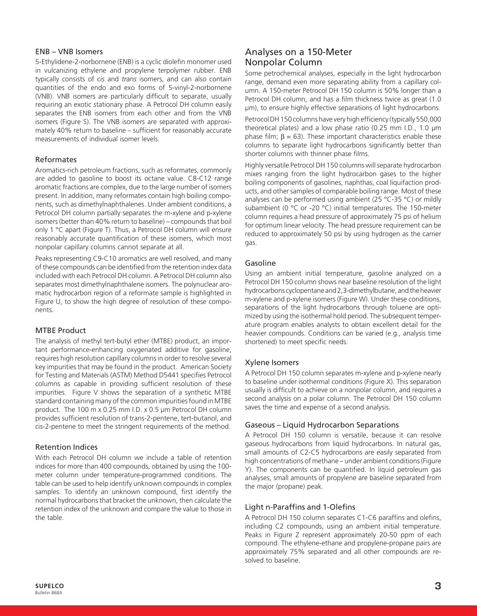#### ENB – VNB Isomers

5-Ethylidene-2-norbornene (ENB) is a cyclic diolefin monomer used in vulcanizing ethylene and propylene terpolymer rubber. ENB typically consists of *cis* and *trans* isomers, and can also contain quantities of the endo and exo forms of 5-vinyl-2-norbornene (VNB). VNB isomers are particularly difficult to separate, usually requiring an exotic stationary phase. A Petrocol DH column easily separates the ENB isomers from each other and from the VNB isomers (Figure S). The VNB isomers are separated with approximately 40% return to baseline – sufficient for reasonably accurate measurements of individual isomer levels.

#### Reformates

Aromatics-rich petroleum fractions, such as reformates, commonly are added to gasoline to boost its octane value. C8-C12 range aromatic fractions are complex, due to the large number of isomers present. In addition, many reformates contain high boiling components, such as dimethylnaphthalenes. Under ambient conditions, a Petrocol DH column partially separates the m-xylene and p-xylene isomers (better than 40% return to baseline) – compounds that boil only 1 °C apart (Figure T). Thus, a Petrocol DH column will ensure reasonably accurate quantification of these isomers, which most nonpolar capillary columns cannot separate at all.

Peaks representing C9-C10 aromatics are well resolved, and many of these compounds can be identified from the retention index data included with each Petrocol DH column. A Petrocol DH column also separates most dimethylnaphthalene isomers. The polynuclear aromatic hydrocarbon region of a reformate sample is highlighted in Figure U, to show the high degree of resolution of these components.

#### MTBE Product

The analysis of methyl tert-butyl ether (MTBE) product, an important performance-enhancing oxygenated additive for gasoline, requires high resolution capillary columns in order to resolve several key impurities that may be found in the product. American Society for Testing and Materials (ASTM) Method D5441 specifies Petrocol columns as capable in providing sufficient resolution of these impurities. Figure V shows the separation of a synthetic MTBE standard containing many of the common impurities found in MTBE product. The 100 m x 0.25 mm I.D. x 0.5 µm Petrocol DH column provides sufficient resolution of trans-2-pentene, tert-butanol, and cis-2-pentene to meet the stringent requirements of the method.

#### Retention Indices

With each Petrocol DH column we include a table of retention indices for more than 400 compounds, obtained by using the 100 meter column under temperature-programmed conditions. The table can be used to help identify unknown compounds in complex samples. To identify an unknown compound, first identify the normal hydrocarbons that bracket the unknown, then calculate the retention index of the unknown and compare the value to those in the table.

## Analyses on a 150-Meter Nonpolar Column

Some petrochemical analyses, especially in the light hydrocarbon range, demand even more separating ability from a capillary column. A 150-meter Petrocol DH 150 column is 50% longer than a Petrocol DH column, and has a film thickness twice as great (1.0 µm), to ensure highly effective separations of light hydrocarbons.

Petrocol DH 150 columns have very high efficiency (typically 550,000 theoretical plates) and a low phase ratio (0.25 mm I.D., 1.0 µm phase film;  $β = 63$ ). These important characteristics enable these columns to separate light hydrocarbons significantly better than shorter columns with thinner phase films.

Highly versatile Petrocol DH 150 columns will separate hydrocarbon mixes ranging from the light hydrocarbon gases to the higher boiling components of gasolines, naphthas, coal liquifaction products, and other samples of comparable boiling range. Most of these analyses can be performed using ambient (25 °C-35 °C) or mildly subambient (0 °C or -20 °C) initial temperatures. The 150-meter column requires a head pressure of approximately 75 psi of helium for optimum linear velocity. The head pressure requirement can be reduced to approximately 50 psi by using hydrogen as the carrier gas.

#### Gasoline

Using an ambient initial temperature, gasoline analyzed on a Petrocol DH 150 column shows near baseline resolution of the light hydrocarbons cyclopentane and 2,3-dimethylbutane, and the heavier m-xylene and p-xylene isomers (Figure W). Under these conditions, separations of the light hydrocarbons through toluene are optimized by using the isothermal hold period. The subsequent temperature program enables analysts to obtain excellent detail for the heavier compounds. Conditions can be varied (e.g., analysis time shortened) to meet specific needs.

#### Xylene Isomers

A Petrocol DH 150 column separates m-xylene and p-xylene nearly to baseline under isothermal conditions (Figure X). This separation usually is difficult to achieve on a nonpolar column, and requires a second analysis on a polar column. The Petrocol DH 150 column saves the time and expense of a second analysis.

#### Gaseous – Liquid Hydrocarbon Separations

A Petrocol DH 150 column is versatile, because it can resolve gaseous hydrocarbons from liquid hydrocarbons. In natural gas, small amounts of C2-C5 hydrocarbons are easily separated from high concentrations of methane – under ambient conditions (Figure Y). The components can be quantified. In liquid petroleum gas analyses, small amounts of propylene are baseline separated from the major (propane) peak.

#### Light n-Paraffins and 1-Olefins

A Petrocol DH 150 column separates C1-C6 paraffins and olefins, including C2 compounds, using an ambient initial temperature. Peaks in Figure Z represent approximately 20-50 ppm of each compound. The ethylene-ethane and propylene-propane pairs are approximately 75% separated and all other compounds are resolved to baseline.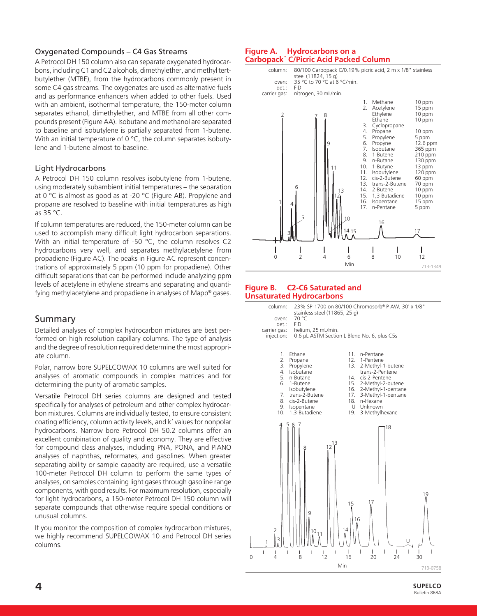## Oxygenated Compounds – C4 Gas Streams

A Petrocol DH 150 column also can separate oxygenated hydrocarbons, including C1 and C2 alcohols, dimethylether, and methyl tertbutylether (MTBE), from the hydrocarbons commonly present in some C4 gas streams. The oxygenates are used as alternative fuels and as performance enhancers when added to other fuels. Used with an ambient, isothermal temperature, the 150-meter column separates ethanol, dimethylether, and MTBE from all other compounds present (Figure AA). Isobutane and methanol are separated to baseline and isobutylene is partially separated from 1-butene. With an initial temperature of  $0 °C$ , the column separates isobutylene and 1-butene almost to baseline.

## Light Hydrocarbons

A Petrocol DH 150 column resolves isobutylene from 1-butene, using moderately subambient initial temperatures – the separation at 0 °C is almost as good as at -20 °C (Figure AB). Propylene and propane are resolved to baseline with initial temperatures as high as 35 °C.

If column temperatures are reduced, the 150-meter column can be used to accomplish many difficult light hydrocarbon separations. With an initial temperature of -50 °C, the column resolves C2 hydrocarbons very well, and separates methylacetylene from propadiene (Figure AC). The peaks in Figure AC represent concentrations of approximately 5 ppm (10 ppm for propadiene). Other difficult separations that can be performed include analyzing ppm levels of acetylene in ethylene streams and separating and quantifying methylacetylene and propadiene in analyses of Mapp® gases.

## Summary

Detailed analyses of complex hydrocarbon mixtures are best performed on high resolution capillary columns. The type of analysis and the degree of resolution required determine the most appropriate column.

Polar, narrow bore SUPELCOWAX 10 columns are well suited for analyses of aromatic compounds in complex matrices and for determining the purity of aromatic samples.

Versatile Petrocol DH series columns are designed and tested specifically for analyses of petroleum and other complex hydrocarbon mixtures. Columns are individually tested, to ensure consistent coating efficiency, column activity levels, and k' values for nonpolar hydrocarbons. Narrow bore Petrocol DH 50.2 columns offer an excellent combination of quality and economy. They are effective for compound class analyses, including PNA, PONA, and PIANO analyses of naphthas, reformates, and gasolines. When greater separating ability or sample capacity are required, use a versatile 100-meter Petrocol DH column to perform the same types of analyses, on samples containing light gases through gasoline range components, with good results. For maximum resolution, especially for light hydrocarbons, a 150-meter Petrocol DH 150 column will separate compounds that otherwise require special conditions or unusual columns.

If you monitor the composition of complex hydrocarbon mixtures, we highly recommend SUPELCOWAX 10 and Petrocol DH series columns.

#### **Figure A. Hydrocarbons on a Carbopack™ C/Picric Acid Packed Column**



#### **Figure B. C2-C6 Saturated and Unsaturated Hydrocarbons**

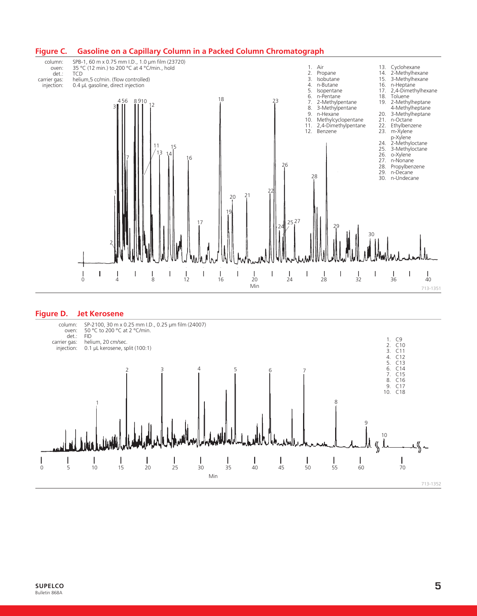

#### **Figure D. Jet Kerosene**

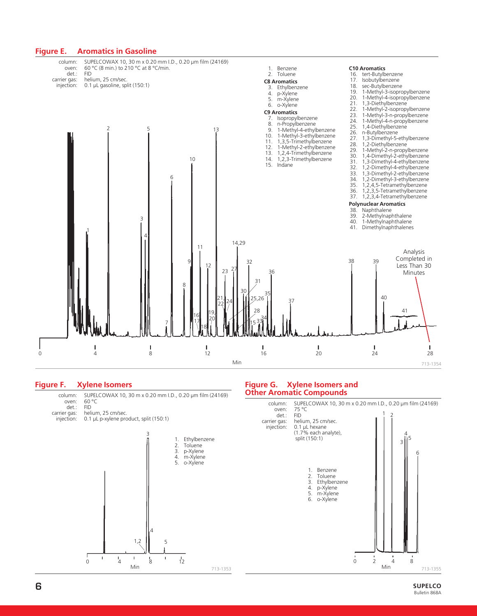

#### **Figure F. Xylene Isomers**

0 4 8 12 Min 1. Ethylbenzene 2. Toluene<br>3. p-Xylene 3. p-Xylene 4. m-Xylene<br>5. o-Xylene 5. o-Xylene 1,2 3 4 5 713-1353 column: SUPELCOWAX 10, 30 m x 0.20 mm I.D., 0.20 µm film (24169)<br>oven: 60 °C 60 °C<br>FID det.:<br>:carrier gas arrier gas: helium, 25 cm/sec.<br>injection: 0.1 µL p-xylene pro 0.1 µL p-xylene product, split (150:1)

#### **Figure G. Xylene Isomers and Other Aromatic Compounds**

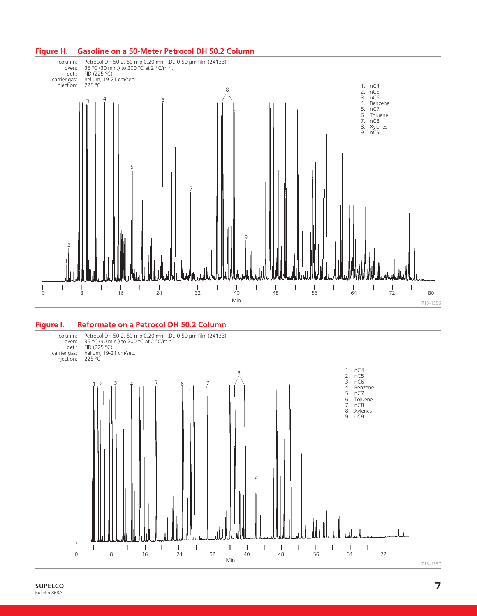

#### **Figure I. Reformate on a Petrocol DH 50.2 Column**



## **Figure H. Gasoline on a 50-Meter Petrocol DH 50.2 Column**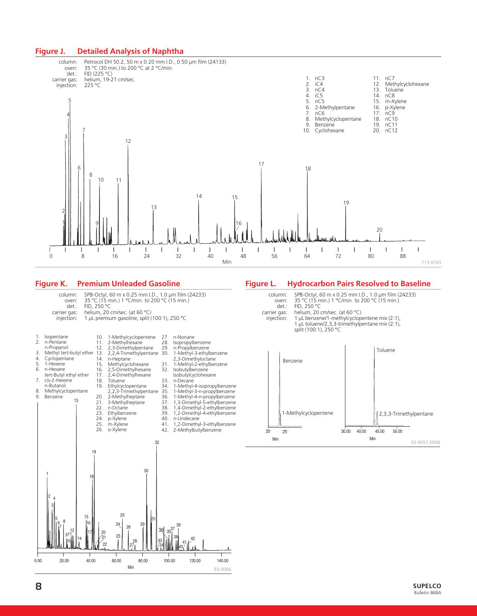#### **Figure J. Detailed Analysis of Naphtha**



#### **Figure K. Premium Unleaded Gasoline**



#### **Figure L. Hydrocarbon Pairs Resolved to Baseline**



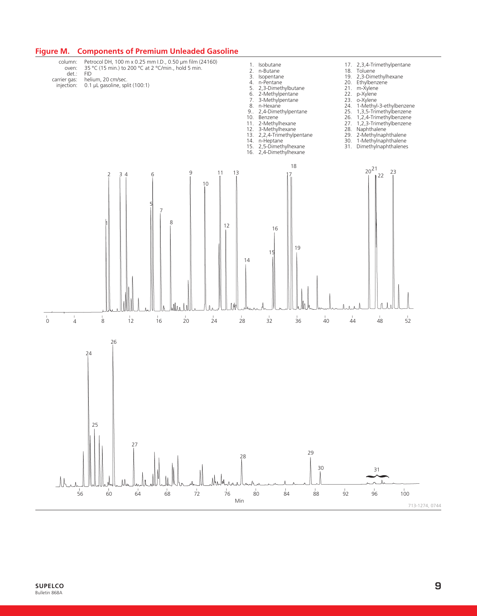

## **Figure M. Components of Premium Unleaded Gasoline**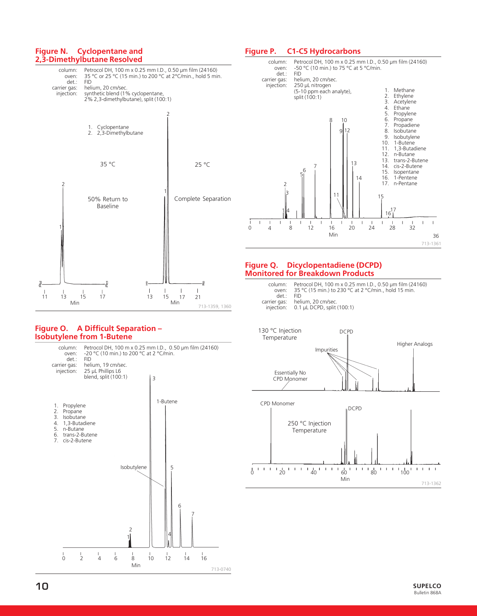#### **Figure N. Cyclopentane and 2,3-Dimethylbutane Resolved**



#### **Figure O. A Difficult Separation – Isobutylene from 1-Butene**



#### **Figure P. C1-C5 Hydrocarbons**



#### **Figure Q. Dicyclopentadiene (DCPD) Monitored for Breakdown Products**

| oven: | column: Petrocol DH, 100 m x 0.25 mm I.D., 0.50 um film (24160)<br>35 °C (15 min.) to 230 °C at 2 °C/min., hold 15 min. |
|-------|-------------------------------------------------------------------------------------------------------------------------|
| det:  | FID.                                                                                                                    |
|       | carrier gas: helium, 20 cm/sec.                                                                                         |
|       | injection: 0.1 µL DCPD, split (100:1)                                                                                   |



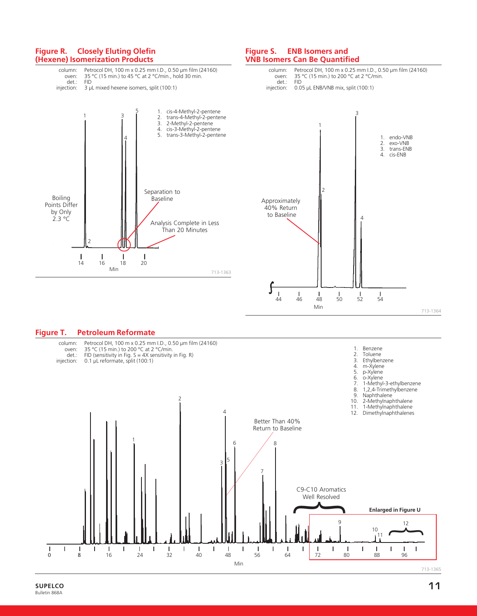



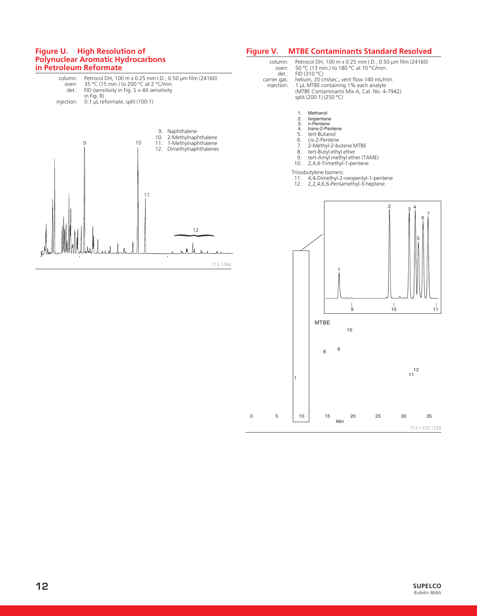#### **Figure U. High Resolution of Polynuclear Aromatic Hydrocarbons in Petroleum Reformate**



#### **Figure V. MTBE Contaminants Standard Resolved**

column: Petrocol DH, 100 m x 0.25 mm I.D., 0.50 µm film (24160) oven: 50 °C (13 min.) to 180 °C at 10 °C/min. det.: FID (310 °C)<br>carrier gas: helium, 20 cr arrier gas: helium, 20 cm/sec.; vent flow 140 mL/min.<br>injection: 1 µL MTBE containing 1% each analyte injection: 1 µL MTBE containing 1% each analyte (MTBE Contaminants Mix A, Cat. No. 4-7942) split (200:1) (250 °C)

- 
- 
- 
- 
- 
- 9. tert-Amyl methyl ether (TAME) 10. 2,4,4-Trimethyl-1-pentene
- 

- 11. 4,4-Dimethyl-2-neopentyl-1-pentene 12. 2,2,4,6,6-Pentamethyl-3-heptene
- 

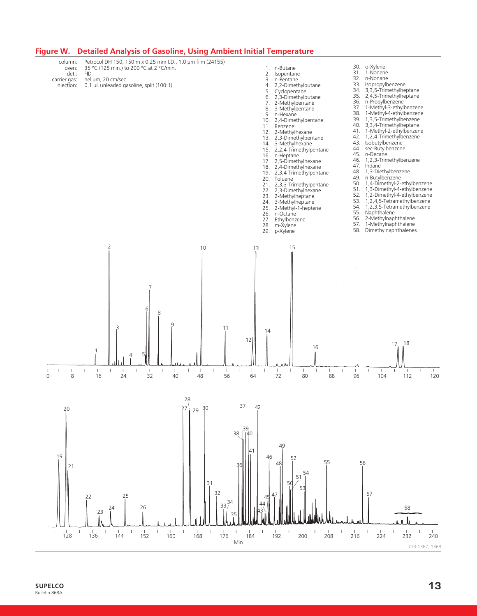

## **Figure W. Detailed Analysis of Gasoline, Using Ambient Initial Temperature**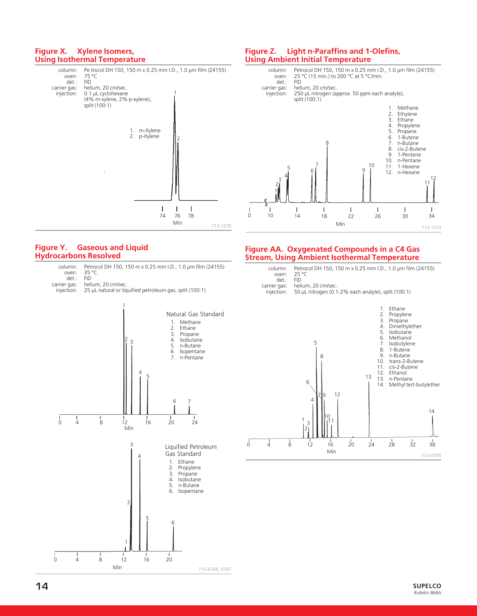#### **Figure X. Xylene Isomers, Using Isothermal Temperature**



#### **Figure Y. Gaseous and Liquid Hydrocarbons Resolved**

- column: Petrocol DH 150, 150 m x 0.25 mm I.D , 1.0 µm film (24155) oven: 35 °C 35 °C<br>FID
- det.:<br>:carrier gas
- helium, 20 cm/sec. injection: 25 µL natural or liquified petroleum gas, split (100:1)



#### **Figure Z. Light n-Paraffins and 1-Olefins, Using Ambient Initial Temperature**



#### **Figure AA. Oxygenated Compounds in a C4 Gas Stream, Using Ambient Isothermal Temperature**

|       | column: Petrocol DH 150, 150 m x 0.25 mm I.D., 1.0 um film (24155) |
|-------|--------------------------------------------------------------------|
|       | oven: $25 °C$                                                      |
| det.: | - FID                                                              |
|       | carrier gas: helium, 20 cm/sec.                                    |
|       | injection: 50 µL nitrogen (0.1-2% each analyte), split (100:1)     |

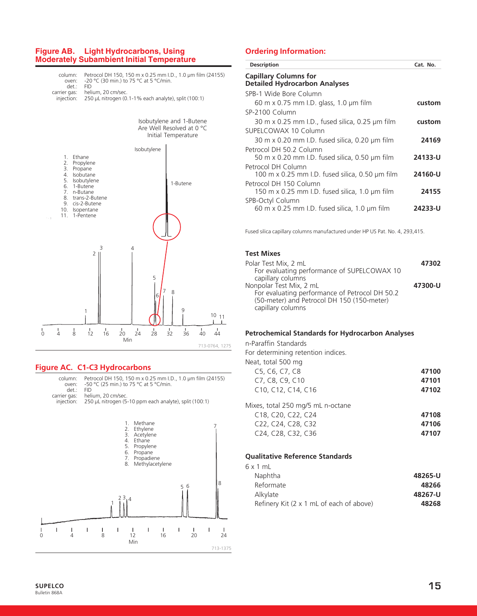#### **Figure AB. Light Hydrocarbons, Using Moderately Subambient Initial Temperature**



#### **Figure AC. C1-C3 Hydrocarbons**





#### **Ordering Information:**

| <b>Description</b>                                                            | Cat. No. |
|-------------------------------------------------------------------------------|----------|
| <b>Capillary Columns for</b><br><b>Detailed Hydrocarbon Analyses</b>          |          |
| SPB-1 Wide Bore Column                                                        |          |
| 60 m x 0.75 mm I.D. glass, 1.0 $\mu$ m film                                   | custom   |
| SP-2100 Column                                                                |          |
| 30 m x 0.25 mm I.D., fused silica, 0.25 $\mu$ m film                          | custom   |
| SUPELCOWAX 10 Column                                                          |          |
| 30 m x 0.20 mm I.D. fused silica, 0.20 $\mu$ m film                           | 24169    |
| Petrocol DH 50.2 Column<br>50 m x 0.20 mm I.D. fused silica, 0.50 µm film     | 24133-U  |
| Petrocol DH Column                                                            |          |
| 100 m x 0.25 mm I.D. fused silica, 0.50 $\mu$ m film                          | 24160-U  |
| Petrocol DH 150 Column<br>150 m x 0.25 mm I.D. fused silica, 1.0 $\mu$ m film | 24155    |
| SPB-Octyl Column<br>60 m x 0.25 mm I.D. fused silica, 1.0 $\mu$ m film        | 24233-U  |
|                                                                               |          |

Fused silica capillary columns manufactured under HP US Pat. No. 4, 293,415.

#### **Test Mixes**

| Polar Test Mix, 2 mL                           | 47302   |
|------------------------------------------------|---------|
| For evaluating performance of SUPELCOWAX 10    |         |
| capillary columns                              |         |
| Nonpolar Test Mix, 2 mL                        | 47300-U |
| For evaluating performance of Petrocol DH 50.2 |         |
| (50-meter) and Petrocol DH 150 (150-meter)     |         |
| capillary columns                              |         |

#### **Petrochemical Standards for Hydrocarbon Analyses**

n-Paraffin Standards

For determining retention indices.

| Neat, total 500 mg                                                    |       |
|-----------------------------------------------------------------------|-------|
| C5, C6, C7, C8                                                        | 47100 |
| C7, C8, C9, C10                                                       | 47101 |
| C <sub>10</sub> , C <sub>12</sub> , C <sub>14</sub> , C <sub>16</sub> | 47102 |
|                                                                       |       |

| Mixes, total 250 mg/5 mL n-octane                                     |       |
|-----------------------------------------------------------------------|-------|
| C <sub>18</sub> , C <sub>20</sub> , C <sub>22</sub> , C <sub>24</sub> | 47108 |
| C <sub>22</sub> , C <sub>24</sub> , C <sub>28</sub> , C <sub>32</sub> | 47106 |
| C24, C28, C32, C36                                                    | 47107 |
|                                                                       |       |

#### **Qualitative Reference Standards**

| 48265-U |
|---------|
| 48266   |
| 48267-U |
| 48268   |
|         |